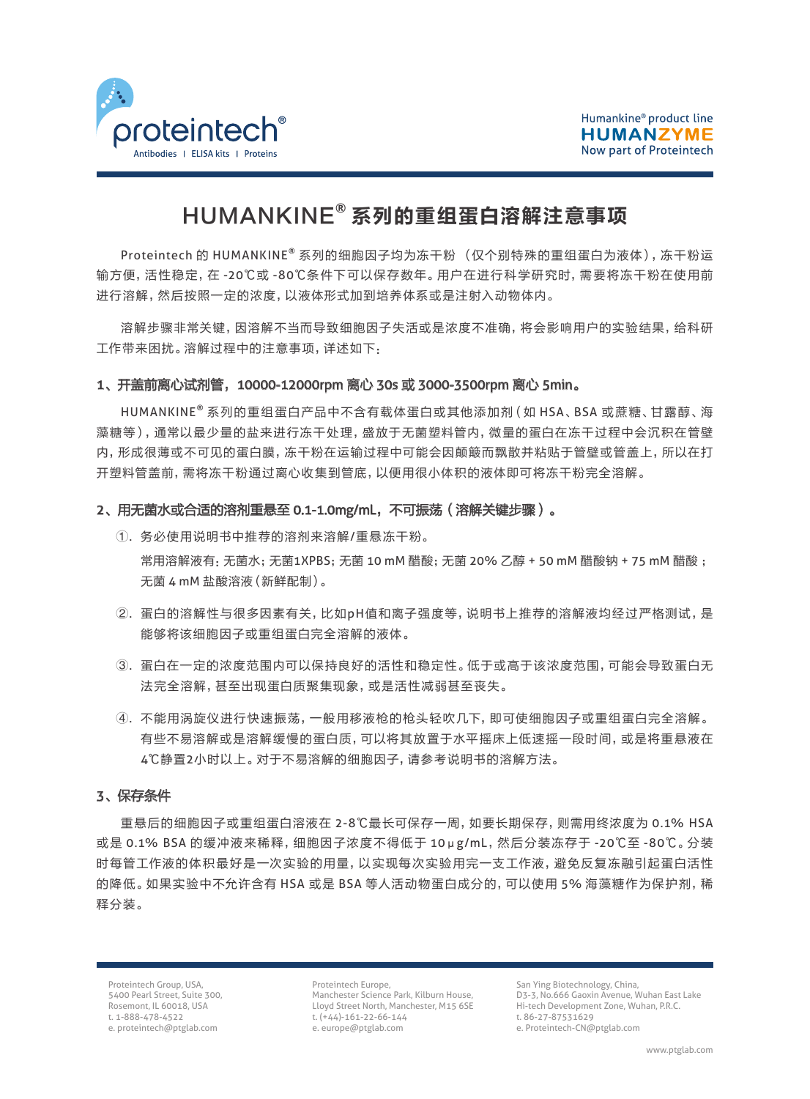

# HUMANKINE**®** 系列的重组蛋白溶解注意事项

Proteintech 的 HUMANKINE**®** 系列的细胞因子均为冻干粉 (仅个别特殊的重组蛋白为液体),冻干粉运 输方便,活性稳定,在 -20℃或 -80℃条件下可以保存数年。用户在进行科学研究时,需要将冻干粉在使用前 进行溶解,然后按照一定的浓度,以液体形式加到培养体系或是注射入动物体内。

溶解步骤非常关键,因溶解不当而导致细胞因子失活或是浓度不准确,将会影响用户的实验结果,给科研 工作带来困扰。溶解过程中的注意事项,详述如下:

## 1、开盖前离心试剂管,10000-12000rpm 离心 30s 或 3000-3500rpm 离心 5min。

HUMANKINE**®** 系列的重组蛋白产品中不含有载体蛋白或其他添加剂(如 HSA、BSA 或蔗糖、甘露醇、海 藻糖等),通常以最少量的盐来进行冻干处理,盛放于无菌塑料管内,微量的蛋白在冻干过程中会沉积在管壁 内,形成很薄或不可见的蛋白膜,冻干粉在运输过程中可能会因颠簸而飘散并粘贴于管壁或管盖上,所以在打 开塑料管盖前,需将冻干粉通过离心收集到管底,以便用很小体积的液体即可将冻干粉完全溶解。

## 2、用无菌水或合适的溶剂重悬至 0.1-1.0mg/mL, 不可振荡 (溶解关键步骤)。

- ①. 务必使用说明书中推荐的溶剂来溶解/重悬冻干粉。 常用溶解液有:无菌水;无菌1XPBS;无菌 10 mM 醋酸;无菌 20% 乙醇 + 50 mM 醋酸钠 + 75 mM 醋酸 ; 无菌 4 mM 盐酸溶液(新鲜配制)。
- ②. 蛋白的溶解性与很多因素有关,比如pH值和离子强度等,说明书上推荐的溶解液均经过严格测试,是 能够将该细胞因子或重组蛋白完全溶解的液体。
- ③. 蛋白在一定的浓度范围内可以保持良好的活性和稳定性。低于或高于该浓度范围,可能会导致蛋白无 法完全溶解,甚至出现蛋白质聚集现象,或是活性减弱甚至丧失。
- ④. 不能用涡旋仪进行快速振荡,一般用移液枪的枪头轻吹几下,即可使细胞因子或重组蛋白完全溶解。 有些不易溶解或是溶解缓慢的蛋白质,可以将其放置于水平摇床上低速摇一段时间,或是将重悬液在 4℃静置2小时以上。对于不易溶解的细胞因子,请参考说明书的溶解方法。

## 3、保存条件

重悬后的细胞因子或重组蛋白溶液在 2-8℃最长可保存一周,如要长期保存,则需用终浓度为 0.1% HSA 或是 0.1% BSA 的缓冲液来稀释,细胞因子浓度不得低于 10μg/mL,然后分装冻存于 -20℃至 -80℃。分装 时每管工作液的体积最好是一次实验的用量,以实现每次实验用完一支工作液,避免反复冻融引起蛋白活性 的降低。如果实验中不允许含有 HSA 或是 BSA 等人活动物蛋白成分的,可以使用 5% 海藻糖作为保护剂,稀 释分装。

Proteintech Group, USA, 5400 Pearl Street, Suite 300, Rosemont, IL 60018, USA t. 1-888-478-4522 e. proteintech@ptglab.com

Proteintech Europe, Manchester Science Park, Kilburn House, Lloyd Street North, Manchester, M15 6SE t. (+44)-161-22-66-144 e. europe@ptglab.com

San Ying Biotechnology, China, D3-3, No.666 Gaoxin Avenue, Wuhan East Lake Hi-tech Development Zone, Wuhan, P.R.C. t. 86-27-87531629 e. Proteintech-CN@ptglab.com